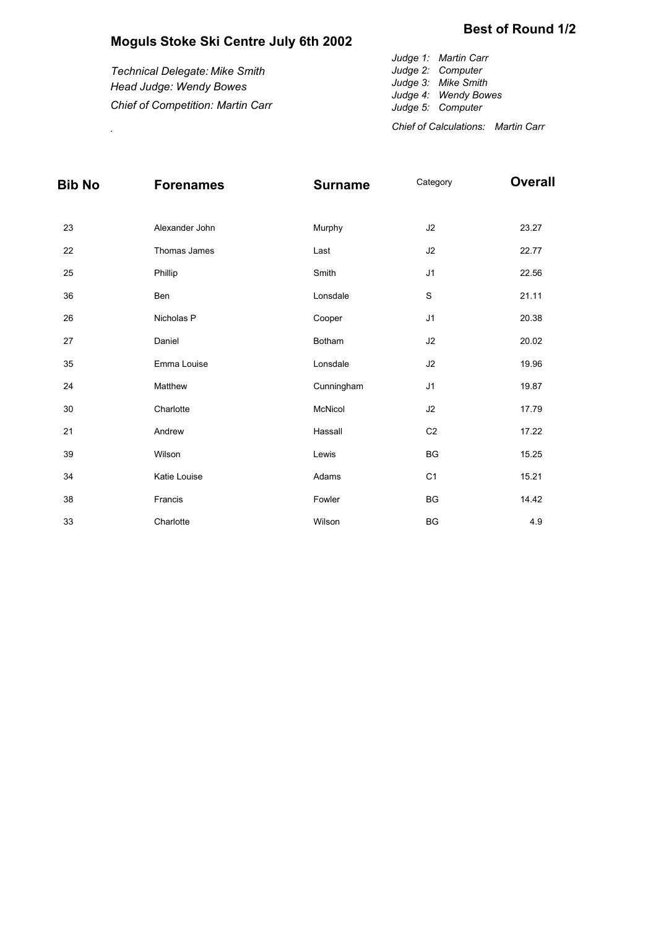## **Moguls Stoke Ski Centre July 6th 2002**

|                                          | Judge 1: Martin Carr                        |
|------------------------------------------|---------------------------------------------|
| Technical Delegate: Mike Smith           | Judge 2: Computer                           |
| Head Judge: Wendy Bowes                  | Judge 3: Mike Smith<br>Judge 4: Wendy Bowes |
| <b>Chief of Competition: Martin Carr</b> | Judge 5: Computer                           |
|                                          | Chief of Calculations: Martin Carr          |

| Bib No | <b>Forenames</b> | <b>Surname</b> | Category       | <b>Overall</b> |
|--------|------------------|----------------|----------------|----------------|
| 23     | Alexander John   | Murphy         | J2             | 23.27          |
| 22     | Thomas James     | Last           | $\sf J2$       | 22.77          |
| 25     | Phillip          | Smith          | J1             | 22.56          |
| 36     | Ben              | Lonsdale       | $\mathbf S$    | 21.11          |
| 26     | Nicholas P       | Cooper         | J1             | 20.38          |
| 27     | Daniel           | Botham         | J2             | 20.02          |
| 35     | Emma Louise      | Lonsdale       | $\sf J2$       | 19.96          |
| 24     | Matthew          | Cunningham     | J1             | 19.87          |
| $30\,$ | Charlotte        | McNicol        | J2             | 17.79          |
| 21     | Andrew           | Hassall        | C <sub>2</sub> | 17.22          |
| 39     | Wilson           | Lewis          | <b>BG</b>      | 15.25          |
| 34     | Katie Louise     | Adams          | C <sub>1</sub> | 15.21          |
| 38     | Francis          | Fowler         | <b>BG</b>      | 14.42          |
| 33     | Charlotte        | Wilson         | <b>BG</b>      | 4.9            |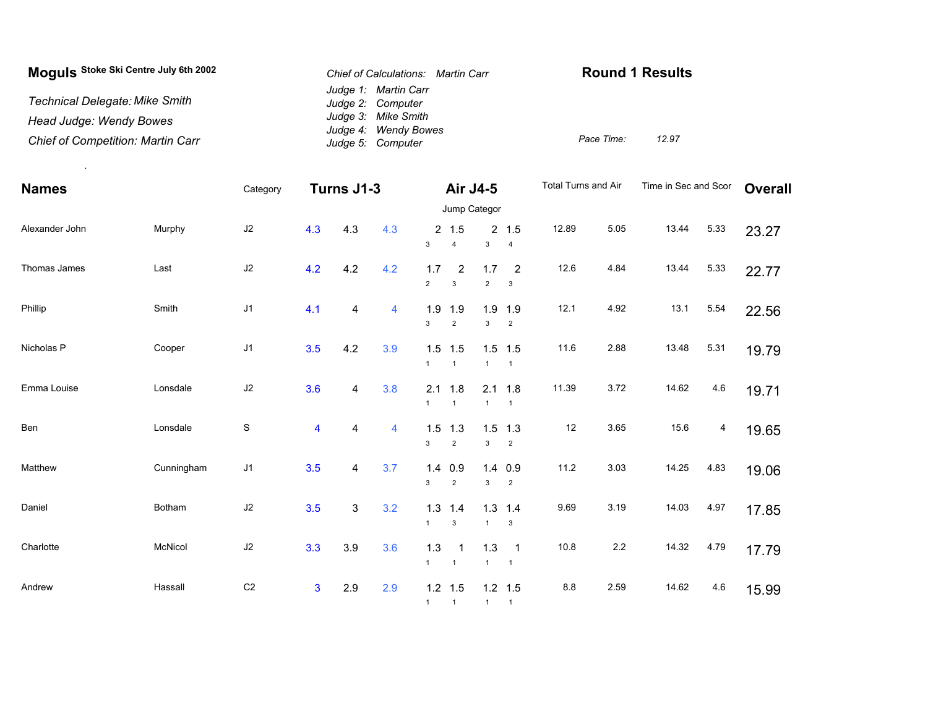| Moguls Stoke Ski Centre July 6th 2002    | Chief of Calculations: Martin Carr        | <b>Round 1 Results</b> |
|------------------------------------------|-------------------------------------------|------------------------|
| <b>Technical Delegate: Mike Smith</b>    | Judge 1: Martin Carr<br>Judge 2: Computer |                        |
| Head Judge: Wendy Bowes                  | Judge 3: Mike Smith                       |                        |
| <b>Chief of Competition: Martin Carr</b> | Judge 4: Wendy Bowes<br>Judge 5: Computer | 12.97<br>Pace Time:    |

| <b>Names</b>   |            | Category       |                         | Turns J1-3  |     |                       | Air J4-5                      |                       |                                              | Total Turns and Air |         | Time in Sec and Scor |      | <b>Overall</b> |  |
|----------------|------------|----------------|-------------------------|-------------|-----|-----------------------|-------------------------------|-----------------------|----------------------------------------------|---------------------|---------|----------------------|------|----------------|--|
|                |            |                |                         |             |     | Jump Categor          |                               |                       |                                              |                     |         |                      |      |                |  |
| Alexander John | Murphy     | J2             | 4.3                     | 4.3         | 4.3 | $\mathbf{3}$          | 2, 1.5<br>$\overline{4}$      | 3                     | 2 1.5<br>$\overline{4}$                      | 12.89               | 5.05    | 13.44                | 5.33 | 23.27          |  |
| Thomas James   | Last       | $\sf J2$       | 4.2                     | 4.2         | 4.2 | 1.7<br>$\overline{2}$ | 2<br>$\mathbf{3}$             | 1.7<br>$\overline{2}$ | $\overline{2}$<br>$\mathbf 3$                | 12.6                | 4.84    | 13.44                | 5.33 | 22.77          |  |
| Phillip        | Smith      | J1             | 4.1                     | 4           | 4   | 1.9<br>3              | 1.9<br>$\overline{2}$         | 3                     | $1.9$ 1.9<br>$\overline{2}$                  | 12.1                | 4.92    | 13.1                 | 5.54 | 22.56          |  |
| Nicholas P     | Cooper     | J <sub>1</sub> | 3.5                     | 4.2         | 3.9 | $\mathbf{1}$          | $1.5$ 1.5<br>$\overline{1}$   | $\mathbf{1}$          | $1.5$ 1.5<br>$\overline{1}$                  | 11.6                | 2.88    | 13.48                | 5.31 | 19.79          |  |
| Emma Louise    | Lonsdale   | J2             | 3.6                     | 4           | 3.8 | 2.1<br>$\mathbf{1}$   | 1.8<br>$\overline{1}$         | $\mathbf{1}$          | $2.1$ 1.8<br>$\overline{1}$                  | 11.39               | 3.72    | 14.62                | 4.6  | 19.71          |  |
| Ben            | Lonsdale   | $\mathbb S$    | $\overline{\mathbf{4}}$ | 4           | 4   | 1.5<br>3              | 1.3<br>$\overline{2}$         | 3                     | $1.5$ 1.3<br>$\overline{2}$                  | 12                  | 3.65    | 15.6                 | 4    | 19.65          |  |
| Matthew        | Cunningham | J1             | 3.5                     | 4           | 3.7 | 1.4<br>3              | 0.9<br>$\overline{2}$         | 3                     | $1.4$ 0.9<br>$\overline{2}$                  | 11.2                | 3.03    | 14.25                | 4.83 | 19.06          |  |
| Daniel         | Botham     | $\sf J2$       | 3.5                     | $\mathsf 3$ | 3.2 | 1.3<br>$\mathbf{1}$   | 1.4<br>$\mathbf{3}$           | $\mathbf{1}$          | $1.3$ 1.4<br>3                               | 9.69                | 3.19    | 14.03                | 4.97 | 17.85          |  |
| Charlotte      | McNicol    | $\sf J2$       | 3.3                     | 3.9         | 3.6 | 1.3<br>1              | $\mathbf 1$<br>$\overline{1}$ | 1.3<br>$\mathbf{1}$   | $\overline{\phantom{0}}$ 1<br>$\overline{1}$ | 10.8                | $2.2\,$ | 14.32                | 4.79 | 17.79          |  |
| Andrew         | Hassall    | C <sub>2</sub> | $\mathbf{3}$            | 2.9         | 2.9 | $\mathbf{1}$          | $1.2$ 1.5<br>$\overline{1}$   | 1                     | $1.2$ 1.5<br>$\overline{1}$                  | $8.8\,$             | 2.59    | 14.62                | 4.6  | 15.99          |  |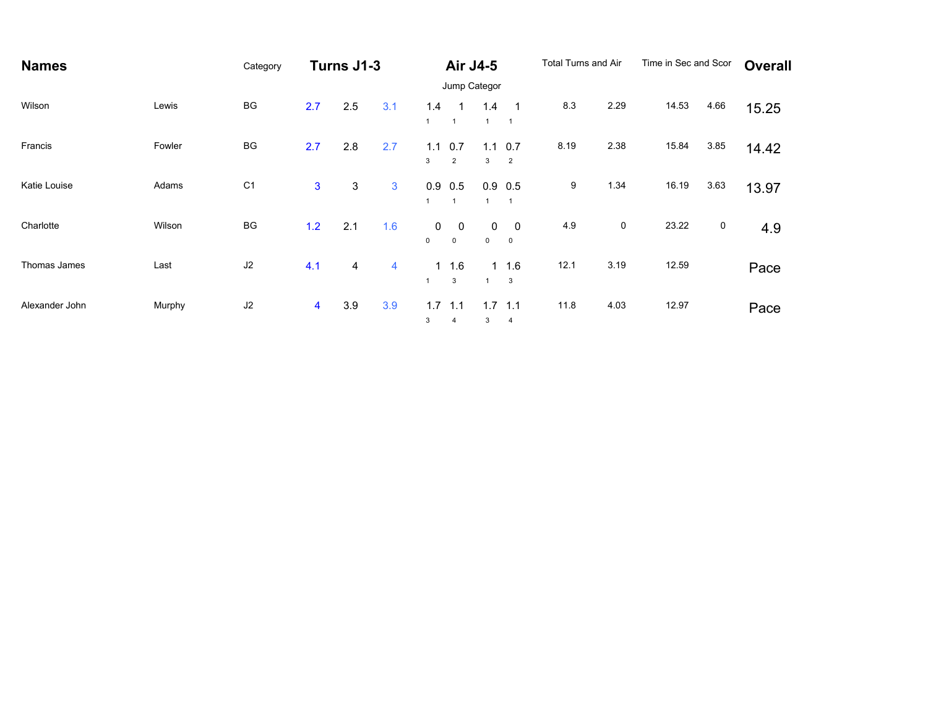| <b>Names</b>   |        | Category       | Turns J1-3              |     | <b>Air J4-5</b> |                            |                             | Total Turns and Air |                               | Time in Sec and Scor |             | Overall |      |       |
|----------------|--------|----------------|-------------------------|-----|-----------------|----------------------------|-----------------------------|---------------------|-------------------------------|----------------------|-------------|---------|------|-------|
|                |        |                |                         |     |                 | Jump Categor               |                             |                     |                               |                      |             |         |      |       |
| Wilson         | Lewis  | BG             | 2.7                     | 2.5 | 3.1             | 1.4                        | $\mathbf{1}$                | 1.4                 | $\mathbf 1$<br>$\overline{1}$ | 8.3                  | 2.29        | 14.53   | 4.66 | 15.25 |
| Francis        | Fowler | <b>BG</b>      | 2.7                     | 2.8 | 2.7             | 1.1<br>3                   | 0.7<br>$\overline{2}$       | 1.1<br>3            | 0.7<br>$\overline{2}$         | 8.19                 | 2.38        | 15.84   | 3.85 | 14.42 |
| Katie Louise   | Adams  | C <sub>1</sub> | 3                       | 3   | 3               |                            | $0.9$ 0.5<br>$\overline{1}$ |                     | $0.9$ 0.5<br>$\overline{1}$   | 9                    | 1.34        | 16.19   | 3.63 | 13.97 |
| Charlotte      | Wilson | BG             | 1.2                     | 2.1 | 1.6             | $\mathbf 0$<br>$\mathbf 0$ | 0<br>$\mathsf 0$            | 0<br>$\mathbf 0$    | $\mathbf 0$<br>$\mathbf 0$    | 4.9                  | $\mathbf 0$ | 23.22   | 0    | 4.9   |
| Thomas James   | Last   | J2             | 4.1                     | 4   | 4               |                            | $1 \t1.6$<br>3              |                     | $1 \t1.6$<br>3                | 12.1                 | 3.19        | 12.59   |      | Pace  |
| Alexander John | Murphy | J2             | $\overline{\mathbf{4}}$ | 3.9 | 3.9             | 1.7<br>3                   | 1.1<br>$\overline{4}$       | 1.7<br>3            | 1.1<br>$\overline{4}$         | 11.8                 | 4.03        | 12.97   |      | Pace  |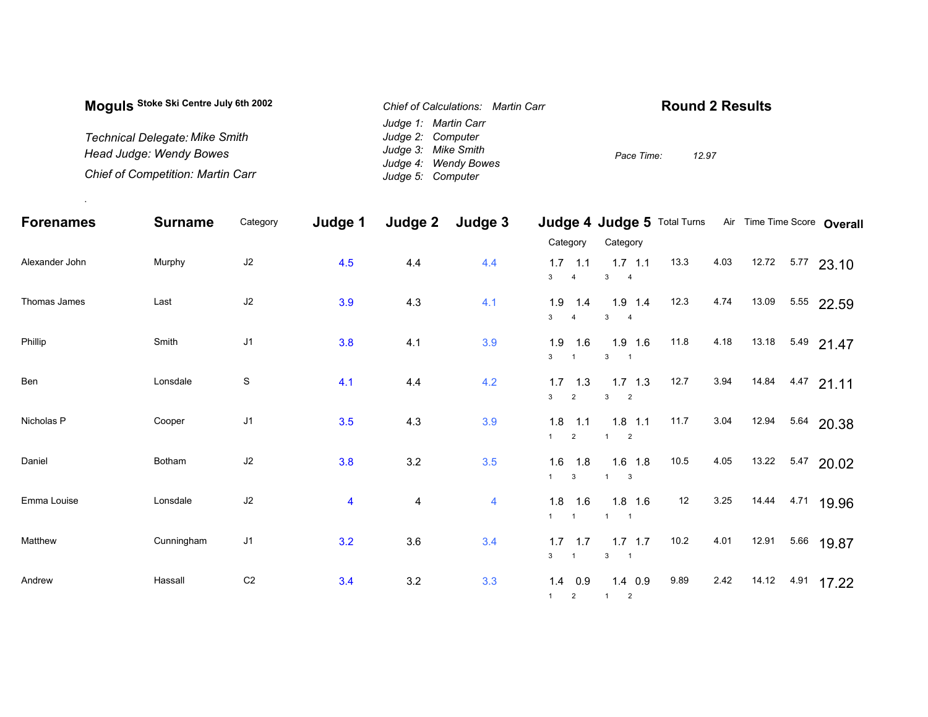| Moquis Stoke Ski Centre July 6th 2002    | Chief of Calculations: Martin Carr          | <b>Round 2 Results</b> |
|------------------------------------------|---------------------------------------------|------------------------|
|                                          | Judge 1: Martin Carr                        |                        |
| <b>Technical Delegate: Mike Smith</b>    | Judge 2: Computer                           |                        |
| Head Judge: Wendy Bowes                  | Judge 3: Mike Smith<br>Judge 4: Wendy Bowes | 12.97<br>Pace Time:    |
| <b>Chief of Competition: Martin Carr</b> | Judge 5: Computer                           |                        |

.

| <b>Forenames</b> | <b>Surname</b> | Category       | Judge 1                 | Judge 2                 | Judge 3        |                                                | Judge 4 Judge 5 Total Turns |      |      |       | Air Time Time Score Overall |  |
|------------------|----------------|----------------|-------------------------|-------------------------|----------------|------------------------------------------------|-----------------------------|------|------|-------|-----------------------------|--|
|                  |                |                |                         |                         |                | Category                                       | Category                    |      |      |       |                             |  |
| Alexander John   | Murphy         | J2             | 4.5                     | 4.4                     | 4.4            | 1.1<br>1.7<br>3 <sup>1</sup><br>$\overline{4}$ | $1.7$ 1.1<br>$3 \t 4$       | 13.3 | 4.03 | 12.72 | $5.77$ 23.10                |  |
| Thomas James     | Last           | J2             | 3.9                     | 4.3                     | 4.1            | 1.9<br>1.4<br>3 <sup>1</sup><br>$\overline{4}$ | $1.9$ 1.4<br>$3 \t 4$       | 12.3 | 4.74 | 13.09 | 5.55 22.59                  |  |
| Phillip          | Smith          | J1             | 3.8                     | 4.1                     | 3.9            | 1.9<br>1.6<br>3 <sup>1</sup><br>$\overline{1}$ | $1.9$ 1.6<br>$3 \quad 1$    | 11.8 | 4.18 |       | 13.18 5.49 21.47            |  |
| Ben              | Lonsdale       | $\mathbf S$    | 4.1                     | 4.4                     | 4.2            | 1.7<br>1.3<br>3 <sup>7</sup><br>$\overline{2}$ | $1.7$ $1.3$<br>$3\qquad 2$  | 12.7 | 3.94 |       | 14.84 4.47 21.11            |  |
| Nicholas P       | Cooper         | J1             | 3.5                     | 4.3                     | 3.9            | 1.8<br>1.1<br>1<br>2                           | $1.8$ 1.1<br>$1 \quad 2$    | 11.7 | 3.04 | 12.94 | 5.64 20.38                  |  |
| Daniel           | Botham         | J2             | 3.8                     | 3.2                     | 3.5            | 1.6<br>1.8<br>1<br>$\mathbf{3}$                | $1.6$ 1.8<br>$1 -$<br>- 3   | 10.5 | 4.05 | 13.22 | 5.47 20.02                  |  |
| Emma Louise      | Lonsdale       | J2             | $\overline{\mathbf{4}}$ | $\overline{\mathbf{4}}$ | $\overline{4}$ | $1.8$ 1.6<br>1<br>$\overline{1}$               | $1.8$ 1.6<br>$1 \quad 1$    | 12   | 3.25 | 14.44 | 4.71 19.96                  |  |
| Matthew          | Cunningham     | J1             | 3.2                     | 3.6                     | 3.4            | $1.7$ 1.7<br>3 <sup>1</sup><br>$\overline{1}$  | $1.7$ 1.7<br>$3 \quad 1$    | 10.2 | 4.01 | 12.91 | 5.66 19.87                  |  |
| Andrew           | Hassall        | C <sub>2</sub> | 3.4                     | 3.2                     | 3.3            | $1.4$ 0.9<br>$1 \t2$                           | $1.4$ 0.9<br>$1 \t2$        | 9.89 | 2.42 | 14.12 | 4.91 17.22                  |  |